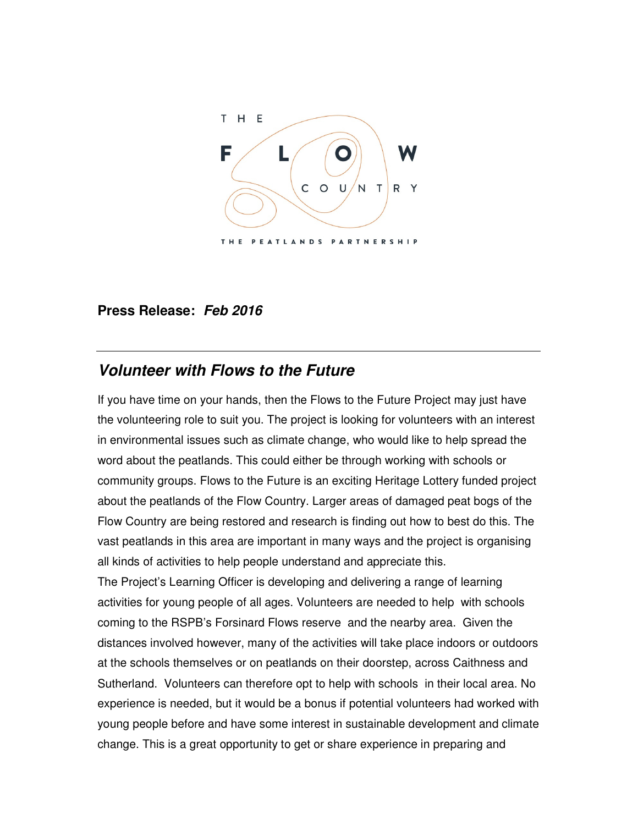

## **Press Release: Feb 2016**

## **Volunteer with Flows to the Future**

If you have time on your hands, then the Flows to the Future Project may just have the volunteering role to suit you. The project is looking for volunteers with an interest in environmental issues such as climate change, who would like to help spread the word about the peatlands. This could either be through working with schools or community groups. Flows to the Future is an exciting Heritage Lottery funded project about the peatlands of the Flow Country. Larger areas of damaged peat bogs of the Flow Country are being restored and research is finding out how to best do this. The vast peatlands in this area are important in many ways and the project is organising all kinds of activities to help people understand and appreciate this.

The Project's Learning Officer is developing and delivering a range of learning activities for young people of all ages. Volunteers are needed to help with schools coming to the RSPB's Forsinard Flows reserve and the nearby area. Given the distances involved however, many of the activities will take place indoors or outdoors at the schools themselves or on peatlands on their doorstep, across Caithness and Sutherland. Volunteers can therefore opt to help with schools in their local area. No experience is needed, but it would be a bonus if potential volunteers had worked with young people before and have some interest in sustainable development and climate change. This is a great opportunity to get or share experience in preparing and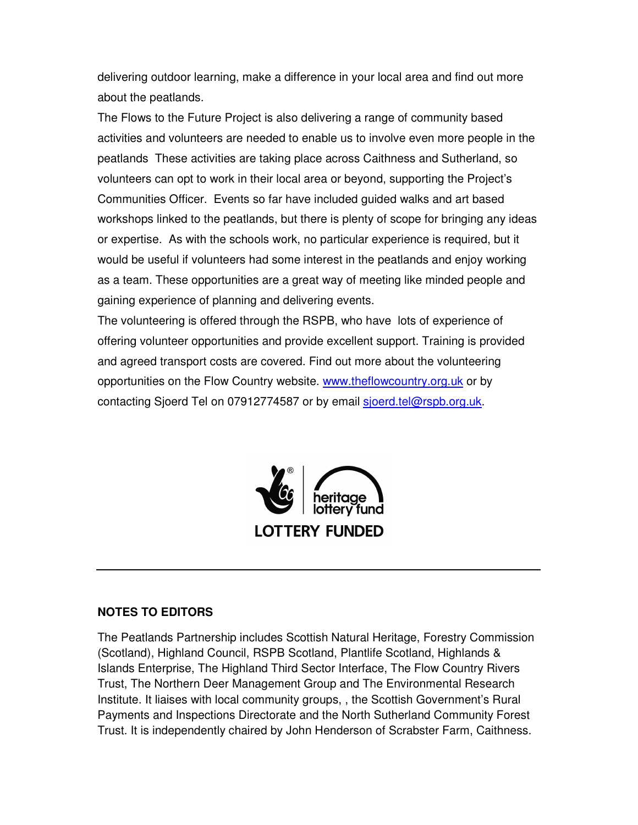delivering outdoor learning, make a difference in your local area and find out more about the peatlands.

The Flows to the Future Project is also delivering a range of community based activities and volunteers are needed to enable us to involve even more people in the peatlands These activities are taking place across Caithness and Sutherland, so volunteers can opt to work in their local area or beyond, supporting the Project's Communities Officer. Events so far have included guided walks and art based workshops linked to the peatlands, but there is plenty of scope for bringing any ideas or expertise. As with the schools work, no particular experience is required, but it would be useful if volunteers had some interest in the peatlands and enjoy working as a team. These opportunities are a great way of meeting like minded people and gaining experience of planning and delivering events.

The volunteering is offered through the RSPB, who have lots of experience of offering volunteer opportunities and provide excellent support. Training is provided and agreed transport costs are covered. Find out more about the volunteering opportunities on the Flow Country website. www.theflowcountry.org.uk or by contacting Sjoerd Tel on 07912774587 or by email sjoerd.tel@rspb.org.uk.



## **NOTES TO EDITORS**

The Peatlands Partnership includes Scottish Natural Heritage, Forestry Commission (Scotland), Highland Council, RSPB Scotland, Plantlife Scotland, Highlands & Islands Enterprise, The Highland Third Sector Interface, The Flow Country Rivers Trust, The Northern Deer Management Group and The Environmental Research Institute. It liaises with local community groups, , the Scottish Government's Rural Payments and Inspections Directorate and the North Sutherland Community Forest Trust. It is independently chaired by John Henderson of Scrabster Farm, Caithness.